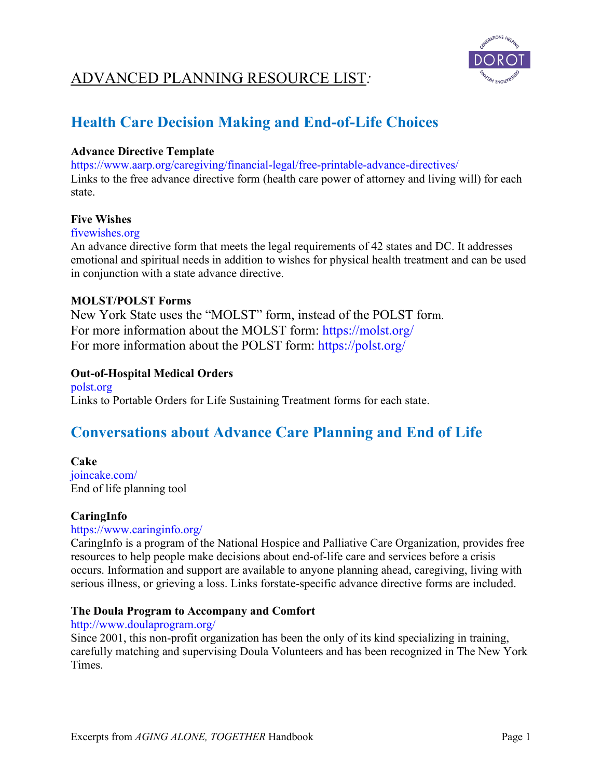

# **Health Care Decision Making and End-of-Life Choices**

### **Advance Directive Template**

https://www.aarp.org/caregiving/financial-legal/free-printable-advance-directives/ Links to the free advance directive form (health care power of attorney and living will) for each state.

### **Five Wishes**

### fivewishes.org

An advance directive form that meets the legal requirements of 42 states and DC. It addresses emotional and spiritual needs in addition to wishes for physical health treatment and can be used in conjunction with a state advance directive.

### **MOLST/POLST Forms**

New York State uses the "MOLST" form, instead of the POLST form. For more information about the MOLST form: https://molst.org/ For more information about the POLST form: https://polst.org/

### **Out-of-Hospital Medical Orders**

polst.org Links to Portable Orders for Life Sustaining Treatment forms for each state.

## **Conversations about Advance Care Planning and End of Life**

### **Cake**

joincake.com/ End of life planning tool

### **CaringInfo**

### https://www.caringinfo.org/

CaringInfo is a program of the National Hospice and Palliative Care Organization, provides free resources to help people make decisions about end-of-life care and services before a crisis occurs. Information and support are available to anyone planning ahead, caregiving, living with serious illness, or grieving a loss. Links forstate-specific advance directive forms are included.

### **The Doula Program to Accompany and Comfort**

### http://www.doulaprogram.org/

Since 2001, this non-profit organization has been the only of its kind specializing in training, carefully matching and supervising Doula Volunteers and has been recognized in The New York Times.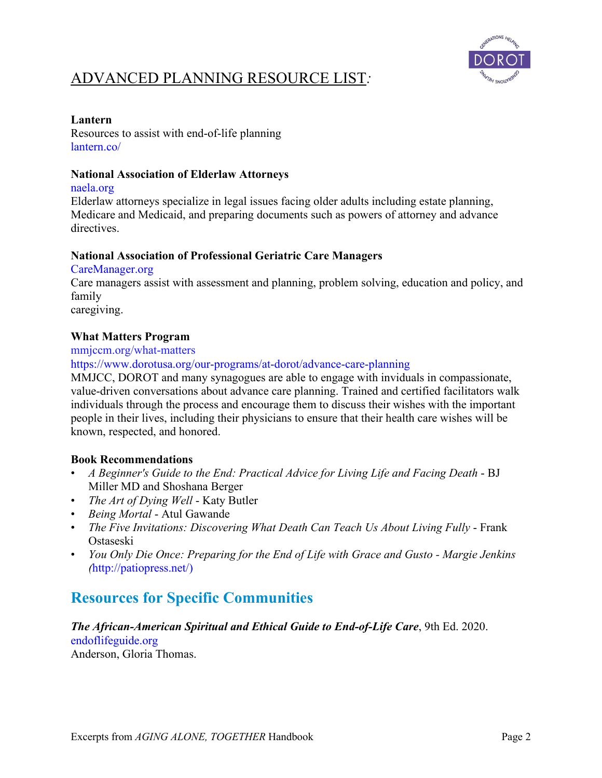

### **Lantern**

Resources to assist with end-of-life planning lantern.co/

### **National Association of Elderlaw Attorneys**

naela.org

Elderlaw attorneys specialize in legal issues facing older adults including estate planning, Medicare and Medicaid, and preparing documents such as powers of attorney and advance directives.

### **National Association of Professional Geriatric Care Managers**

CareManager.org

Care managers assist with assessment and planning, problem solving, education and policy, and family

caregiving.

## **What Matters Program**

mmjccm.org/what-matters

https://www.dorotusa.org/our-programs/at-dorot/advance-care-planning

MMJCC, DOROT and many synagogues are able to engage with inviduals in compassionate, value-driven conversations about advance care planning. Trained and certified facilitators walk individuals through the process and encourage them to discuss their wishes with the important people in their lives, including their physicians to ensure that their health care wishes will be known, respected, and honored.

### **Book Recommendations**

- *A Beginner's Guide to the End: Practical Advice for Living Life and Facing Death*  BJ Miller MD and Shoshana Berger
- *The Art of Dying Well*  Katy Butler
- *Being Mortal*  Atul Gawande
- *The Five Invitations: Discovering What Death Can Teach Us About Living Fully* Frank Ostaseski
- *You Only Die Once: Preparing for the End of Life with Grace and Gusto - Margie Jenkins (*http://patiopress.net/)

# **Resources for Specific Communities**

## *The African-American Spiritual and Ethical Guide to End-of-Life Care*, 9th Ed. 2020. endoflifeguide.org

Anderson, Gloria Thomas.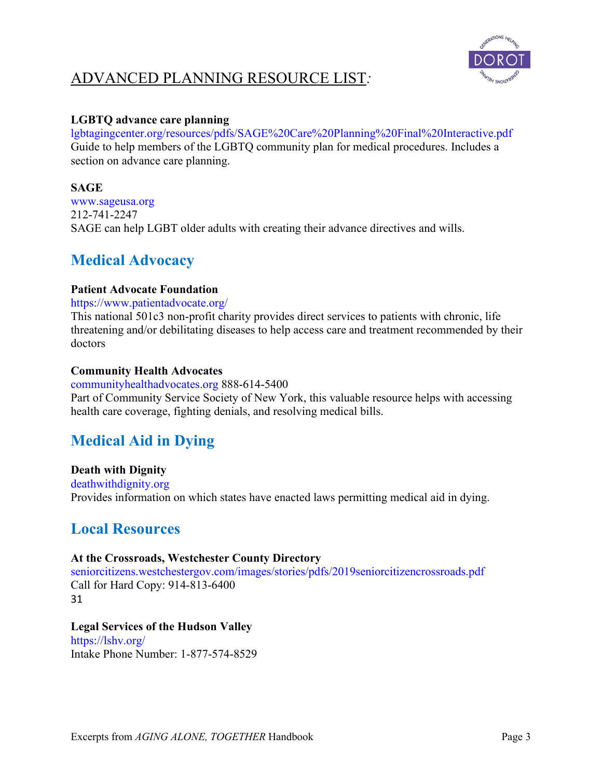

## **LGBTQ advance care planning**

lgbtagingcenter.org/resources/pdfs/SAGE%20Care%20Planning%20Final%20Interactive.pdf Guide to help members of the LGBTQ community plan for medical procedures. Includes a section on advance care planning.

## **SAGE**

www.sageusa.org 212-741-2247 SAGE can help LGBT older adults with creating their advance directives and wills.

# **Medical Advocacy**

## **Patient Advocate Foundation**

https://www.patientadvocate.org/

This national 501c3 non-profit charity provides direct services to patients with chronic, life threatening and/or debilitating diseases to help access care and treatment recommended by their doctors

## **Community Health Advocates**

communityhealthadvocates.org 888-614-5400 Part of Community Service Society of New York, this valuable resource helps with accessing health care coverage, fighting denials, and resolving medical bills.

# **Medical Aid in Dying**

**Death with Dignity** deathwithdignity.org Provides information on which states have enacted laws permitting medical aid in dying.

# **Local Resources**

## **At the Crossroads, Westchester County Directory**

seniorcitizens.westchestergov.com/images/stories/pdfs/2019seniorcitizencrossroads.pdf Call for Hard Copy: 914-813-6400 31

# **Legal Services of the Hudson Valley**

https://lshv.org/ Intake Phone Number: 1-877-574-8529